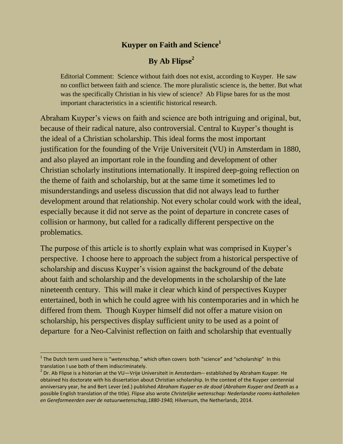#### **Kuyper on Faith and Science<sup>1</sup>**

### **By Ab Flipse<sup>2</sup>**

Editorial Comment: Science without faith does not exist, according to Kuyper. He saw no conflict between faith and science. The more pluralistic science is, the better. But what was the specifically Christian in his view of science? Ab Flipse bares for us the most important characteristics in a scientific historical research.

Abraham Kuyper's views on faith and science are both intriguing and original, but, because of their radical nature, also controversial. Central to Kuyper's thought is the ideal of a Christian scholarship. This ideal forms the most important justification for the founding of the Vrije Universiteit (VU) in Amsterdam in 1880, and also played an important role in the founding and development of other Christian scholarly institutions internationally. It inspired deep-going reflection on the theme of faith and scholarship, but at the same time it sometimes led to misunderstandings and useless discussion that did not always lead to further development around that relationship. Not every scholar could work with the ideal, especially because it did not serve as the point of departure in concrete cases of collision or harmony, but called for a radically different perspective on the problematics.

The purpose of this article is to shortly explain what was comprised in Kuyper's perspective. I choose here to approach the subject from a historical perspective of scholarship and discuss Kuyper's vision against the background of the debate about faith and scholarship and the developments in the scholarship of the late nineteenth century. This will make it clear which kind of perspectives Kuyper entertained, both in which he could agree with his contemporaries and in which he differed from them. Though Kuyper himself did not offer a mature vision on scholarship, his perspectives display sufficient unity to be used as a point of departure for a Neo-Calvinist reflection on faith and scholarship that eventually

 $\overline{a}$ 

<sup>&</sup>lt;sup>1</sup> The Dutch term used here is "*wetenschap,"* which often covers both "science" and "scholarship" In this translation I use both of them indiscriminately.

 $^{2}$  Dr. Ab Flipse is a historian at the VU—Vrije Universiteit in Amsterdam-- established by Abraham Kuyper. He obtained his doctorate with his dissertation about Christian scholarship. In the context of the Kuyper centennial anniversary year, he and Bert Lever (ed.) published *Abraham Kuyper en de dood* (*Abraham Kuyper and Death* as a possible English translation of the title). Flipse also wrote *Christelijke wetenschap: Nederlandse rooms-katholieken en Gereformeerden over de natuurwetenschap,1880-1940,* Hilversum, the Netherlands, 2014.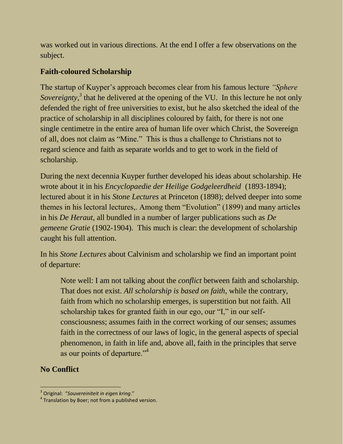was worked out in various directions. At the end I offer a few observations on the subject.

### **Faith-coloured Scholarship**

The startup of Kuyper's approach becomes clear from his famous lecture *"Sphere Sovereignty*,<sup>3</sup> that he delivered at the opening of the VU. In this lecture he not only defended the right of free universities to exist, but he also sketched the ideal of the practice of scholarship in all disciplines coloured by faith, for there is not one single centimetre in the entire area of human life over which Christ, the Sovereign of all, does not claim as "Mine." This is thus a challenge to Christians not to regard science and faith as separate worlds and to get to work in the field of scholarship.

During the next decennia Kuyper further developed his ideas about scholarship. He wrote about it in his *Encyclopaedie der Heilige Godgeleerdheid* (1893-1894); lectured about it in his *Stone Lectures* at Princeton (1898); delved deeper into some themes in his lectoral lectures,. Among them "Evolution" (1899) and many articles in his *De Heraut*, all bundled in a number of larger publications such as *De gemeene Gratie* (1902-1904). This much is clear: the development of scholarship caught his full attention.

In his *Stone Lectures* about Calvinism and scholarship we find an important point of departure:

Note well: I am not talking about the *conflict* between faith and scholarship. That does not exist. *All scholarship is based on faith*, while the contrary, faith from which no scholarship emerges, is superstition but not faith. All scholarship takes for granted faith in our ego, our "I," in our selfconsciousness; assumes faith in the correct working of our senses; assumes faith in the correctness of our laws of logic, in the general aspects of special phenomenon, in faith in life and, above all, faith in the principles that serve as our points of departure."<sup>4</sup>

# **No Conflict**

 3 Original: "*Souvereiniteit in eigen kring*."

 $4$  Translation by Boer; not from a published version.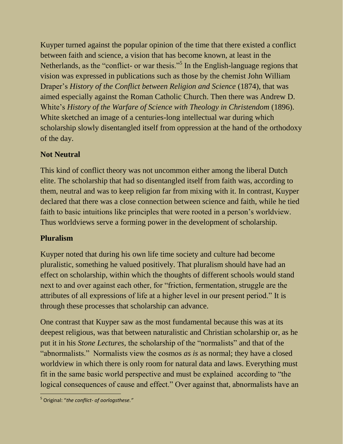Kuyper turned against the popular opinion of the time that there existed a conflict between faith and science, a vision that has become known, at least in the Netherlands, as the "conflict- or war thesis."<sup>5</sup> In the English-language regions that vision was expressed in publications such as those by the chemist John William Draper's *History of the Conflict between Religion and Science* (1874), that was aimed especially against the Roman Catholic Church. Then there was Andrew D. White's *History of the Warfare of Science with Theology in Christendom* (1896). White sketched an image of a centuries-long intellectual war during which scholarship slowly disentangled itself from oppression at the hand of the orthodoxy of the day.

# **Not Neutral**

This kind of conflict theory was not uncommon either among the liberal Dutch elite. The scholarship that had so disentangled itself from faith was, according to them, neutral and was to keep religion far from mixing with it. In contrast, Kuyper declared that there was a close connection between science and faith, while he tied faith to basic intuitions like principles that were rooted in a person's worldview. Thus worldviews serve a forming power in the development of scholarship.

# **Pluralism**

Kuyper noted that during his own life time society and culture had become pluralistic, something he valued positively. That pluralism should have had an effect on scholarship, within which the thoughts of different schools would stand next to and over against each other, for "friction, fermentation, struggle are the attributes of all expressions of life at a higher level in our present period." It is through these processes that scholarship can advance.

One contrast that Kuyper saw as the most fundamental because this was at its deepest religious, was that between naturalistic and Christian scholarship or, as he put it in his *Stone Lectures,* the scholarship of the "normalists" and that of the "abnormalists." Normalists view the cosmos *as is* as normal; they have a closed worldview in which there is only room for natural data and laws. Everything must fit in the same basic world perspective and must be explained according to "the logical consequences of cause and effect." Over against that, abnormalists have an

 $\overline{a}$ 5 Original: "*the conflict- of oorlogsthese."*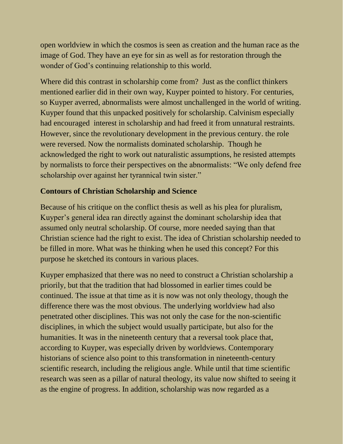open worldview in which the cosmos is seen as creation and the human race as the image of God. They have an eye for sin as well as for restoration through the wonder of God's continuing relationship to this world.

Where did this contrast in scholarship come from? Just as the conflict thinkers mentioned earlier did in their own way, Kuyper pointed to history. For centuries, so Kuyper averred, abnormalists were almost unchallenged in the world of writing. Kuyper found that this unpacked positively for scholarship. Calvinism especially had encouraged interest in scholarship and had freed it from unnatural restraints. However, since the revolutionary development in the previous century. the role were reversed. Now the normalists dominated scholarship. Though he acknowledged the right to work out naturalistic assumptions, he resisted attempts by normalists to force their perspectives on the abnormalists: "We only defend free scholarship over against her tyrannical twin sister."

### **Contours of Christian Scholarship and Science**

Because of his critique on the conflict thesis as well as his plea for pluralism, Kuyper's general idea ran directly against the dominant scholarship idea that assumed only neutral scholarship. Of course, more needed saying than that Christian science had the right to exist. The idea of Christian scholarship needed to be filled in more. What was he thinking when he used this concept? For this purpose he sketched its contours in various places.

Kuyper emphasized that there was no need to construct a Christian scholarship a priorily, but that the tradition that had blossomed in earlier times could be continued. The issue at that time as it is now was not only theology, though the difference there was the most obvious. The underlying worldview had also penetrated other disciplines. This was not only the case for the non-scientific disciplines, in which the subject would usually participate, but also for the humanities. It was in the nineteenth century that a reversal took place that, according to Kuyper, was especially driven by worldviews. Contemporary historians of science also point to this transformation in nineteenth-century scientific research, including the religious angle. While until that time scientific research was seen as a pillar of natural theology, its value now shifted to seeing it as the engine of progress. In addition, scholarship was now regarded as a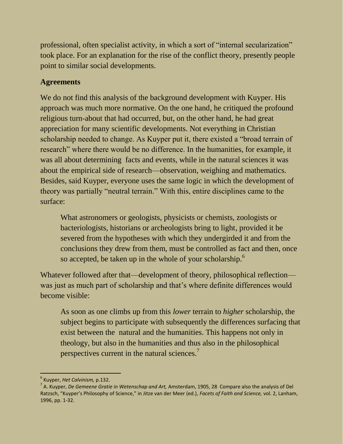professional, often specialist activity, in which a sort of "internal secularization" took place. For an explanation for the rise of the conflict theory, presently people point to similar social developments.

### **Agreements**

We do not find this analysis of the background development with Kuyper. His approach was much more normative. On the one hand, he critiqued the profound religious turn-about that had occurred, but, on the other hand, he had great appreciation for many scientific developments. Not everything in Christian scholarship needed to change. As Kuyper put it, there existed a "broad terrain of research" where there would be no difference. In the humanities, for example, it was all about determining facts and events, while in the natural sciences it was about the empirical side of research—observation, weighing and mathematics. Besides, said Kuyper, everyone uses the same logic in which the development of theory was partially "neutral terrain." With this, entire disciplines came to the surface:

What astronomers or geologists, physicists or chemists, zoologists or bacteriologists, historians or archeologists bring to light, provided it be severed from the hypotheses with which they undergirded it and from the conclusions they drew from them, must be controlled as fact and then, once so accepted, be taken up in the whole of your scholarship.<sup>6</sup>

Whatever followed after that—development of theory, philosophical reflection was just as much part of scholarship and that's where definite differences would become visible:

As soon as one climbs up from this *lower* terrain to *higher* scholarship, the subject begins to participate with subsequently the differences surfacing that exist between the natural and the humanities. This happens not only in theology, but also in the humanities and thus also in the philosophical perspectives current in the natural sciences.<sup>7</sup>

 $\frac{1}{2}$ 6 Kuyper, *Het Calvinism,* p.132.

<sup>7</sup> A. Kuyper, *De Gemeene Gratie in Wetenschap and Art,* Amsterdam, 1905, 28 Compare also the analysis of Del Ratzsch, "Kuyper's Philosophy of Science," in Jitze van der Meer (ed.), *Facets of Faith and Science,* vol. 2, Lanham, 1996, pp. 1-32.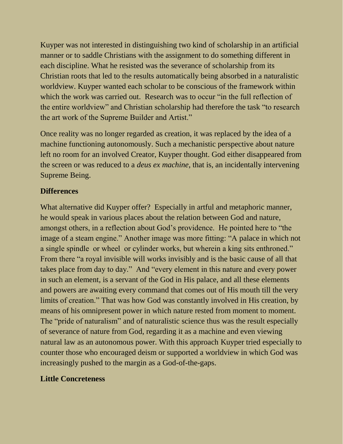Kuyper was not interested in distinguishing two kind of scholarship in an artificial manner or to saddle Christians with the assignment to do something different in each discipline. What he resisted was the severance of scholarship from its Christian roots that led to the results automatically being absorbed in a naturalistic worldview. Kuyper wanted each scholar to be conscious of the framework within which the work was carried out. Research was to occur "in the full reflection of the entire worldview" and Christian scholarship had therefore the task "to research the art work of the Supreme Builder and Artist."

Once reality was no longer regarded as creation, it was replaced by the idea of a machine functioning autonomously. Such a mechanistic perspective about nature left no room for an involved Creator, Kuyper thought. God either disappeared from the screen or was reduced to a *deus ex machine*, that is, an incidentally intervening Supreme Being.

#### **Differences**

What alternative did Kuyper offer? Especially in artful and metaphoric manner, he would speak in various places about the relation between God and nature, amongst others, in a reflection about God's providence. He pointed here to "the image of a steam engine." Another image was more fitting: "A palace in which not a single spindle or wheel or cylinder works, but wherein a king sits enthroned." From there "a royal invisible will works invisibly and is the basic cause of all that takes place from day to day." And "every element in this nature and every power in such an element, is a servant of the God in His palace, and all these elements and powers are awaiting every command that comes out of His mouth till the very limits of creation." That was how God was constantly involved in His creation, by means of his omnipresent power in which nature rested from moment to moment. The "pride of naturalism" and of naturalistic science thus was the result especially of severance of nature from God, regarding it as a machine and even viewing natural law as an autonomous power. With this approach Kuyper tried especially to counter those who encouraged deism or supported a worldview in which God was increasingly pushed to the margin as a God-of-the-gaps.

### **Little Concreteness**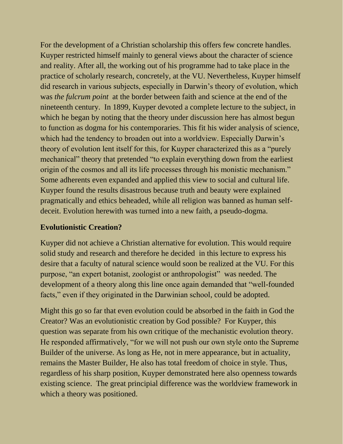For the development of a Christian scholarship this offers few concrete handles. Kuyper restricted himself mainly to general views about the character of science and reality. After all, the working out of his programme had to take place in the practice of scholarly research, concretely, at the VU. Nevertheless, Kuyper himself did research in various subjects, especially in Darwin's theory of evolution, which was *the fulcrum point* at the border between faith and science at the end of the nineteenth century. In 1899, Kuyper devoted a complete lecture to the subject, in which he began by noting that the theory under discussion here has almost begun to function as dogma for his contemporaries. This fit his wider analysis of science, which had the tendency to broaden out into a worldview. Especially Darwin's theory of evolution lent itself for this, for Kuyper characterized this as a "purely mechanical" theory that pretended "to explain everything down from the earliest origin of the cosmos and all its life processes through his monistic mechanism." Some adherents even expanded and applied this view to social and cultural life. Kuyper found the results disastrous because truth and beauty were explained pragmatically and ethics beheaded, while all religion was banned as human selfdeceit. Evolution herewith was turned into a new faith, a pseudo-dogma.

### **Evolutionistic Creation?**

Kuyper did not achieve a Christian alternative for evolution. This would require solid study and research and therefore he decided in this lecture to express his desire that a faculty of natural science would soon be realized at the VU. For this purpose, "an expert botanist, zoologist or anthropologist" was needed. The development of a theory along this line once again demanded that "well-founded facts," even if they originated in the Darwinian school, could be adopted.

Might this go so far that even evolution could be absorbed in the faith in God the Creator? Was an evolutionistic creation by God possible? For Kuyper, this question was separate from his own critique of the mechanistic evolution theory. He responded affirmatively, "for we will not push our own style onto the Supreme Builder of the universe. As long as He, not in mere appearance, but in actuality, remains the Master Builder, He also has total freedom of choice in style. Thus, regardless of his sharp position, Kuyper demonstrated here also openness towards existing science. The great principial difference was the worldview framework in which a theory was positioned.